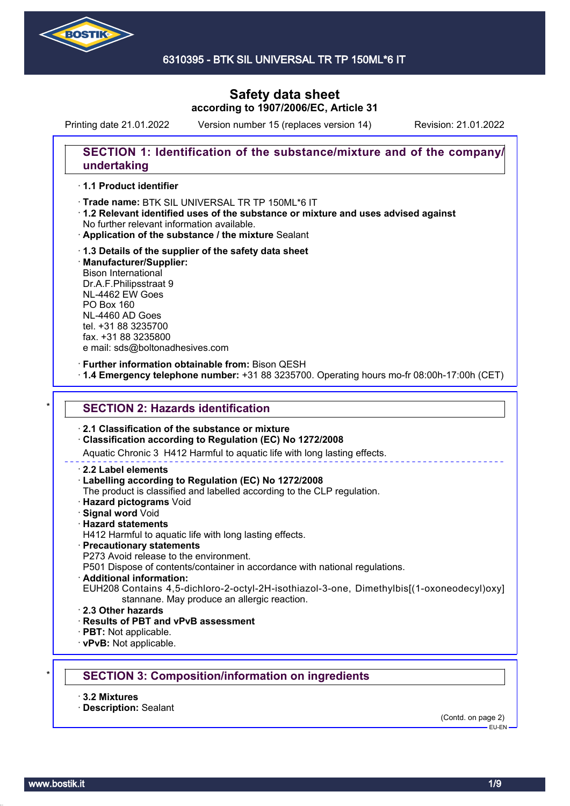

6310395 - BTK SIL UNIVERSAL TR TP 150ML\*6 IT

# **Safety data sheet according to 1907/2006/EC, Article 31**

Printing date 21.01.2022 Version number 15 (replaces version 14) Revision: 21.01.2022

## **SECTION 1: Identification of the substance/mixture and of the company/ undertaking**

### · **1.1 Product identifier**

· Trade name: BTK SIL UNIVERSAL TR TP 150ML\*6 IT

- · **1.2 Relevant identified uses of the substance or mixture and uses advised against** No further relevant information available.
- · **Application of the substance / the mixture** Sealant
- · **1.3 Details of the supplier of the safety data sheet** · **Manufacturer/Supplier:** Bison International Dr.A.F.Philipsstraat 9 NL-4462 EW Goes PO Box 160 NL-4460 AD Goes tel. +31 88 3235700 fax. +31 88 3235800 e mail: sds@boltonadhesives.com

#### · **Further information obtainable from:** Bison QESH

· **1.4 Emergency telephone number:** +31 88 3235700. Operating hours mo-fr 08:00h-17:00h (CET)

### **SECTION 2: Hazards identification**

#### · **2.1 Classification of the substance or mixture**

#### · **Classification according to Regulation (EC) No 1272/2008**

Aquatic Chronic 3 H412 Harmful to aquatic life with long lasting effects.

#### · **2.2 Label elements**

#### · **Labelling according to Regulation (EC) No 1272/2008**

The product is classified and labelled according to the CLP regulation.

- · **Hazard pictograms** Void
- · **Signal word** Void
- · **Hazard statements**
- H412 Harmful to aquatic life with long lasting effects.

#### · **Precautionary statements**

P273 Avoid release to the environment.

P501 Dispose of contents/container in accordance with national regulations.

- · **Additional information:**
- EUH208 Contains 4,5-dichloro-2-octyl-2H-isothiazol-3-one, Dimethylbis[(1-oxoneodecyl)oxy] stannane. May produce an allergic reaction.
- · **2.3 Other hazards**
- · **Results of PBT and vPvB assessment**
- · **PBT:** Not applicable.
- · **vPvB:** Not applicable.

## \* **SECTION 3: Composition/information on ingredients**

- · **3.2 Mixtures**
- · **Description:** Sealant

(Contd. on page 2)  $-$ EH-EN-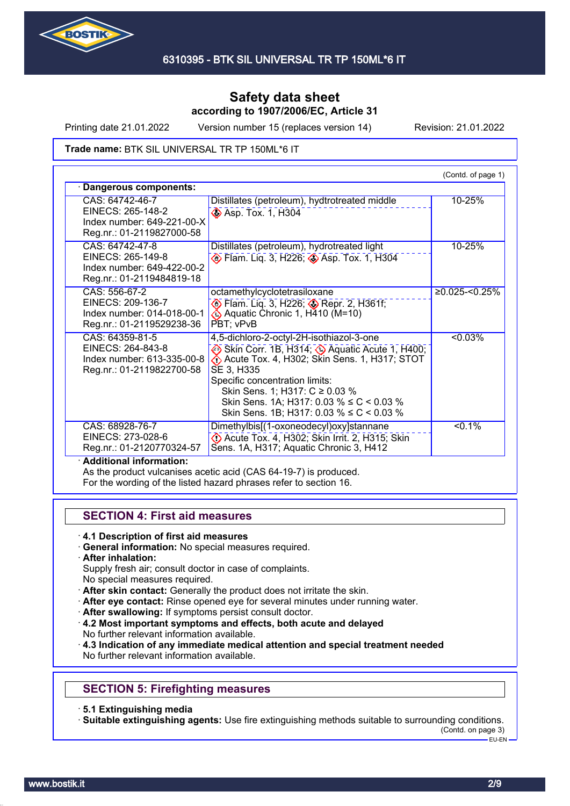

Printing date 21.01.2022 Version number 15 (replaces version 14) Revision: 21.01.2022

#### Trade name: BTK SIL UNIVERSAL TR TP 150ML\*6 IT

| Dangerous components:                                                                           |                                                                                                                                                                                                                                                                                                                        |                  |
|-------------------------------------------------------------------------------------------------|------------------------------------------------------------------------------------------------------------------------------------------------------------------------------------------------------------------------------------------------------------------------------------------------------------------------|------------------|
| CAS: 64742-46-7<br>EINECS: 265-148-2<br>Index number: 649-221-00-X<br>Reg.nr.: 01-2119827000-58 | Distillates (petroleum), hydtrotreated middle<br><b>Asp. Tox. 1, H304</b>                                                                                                                                                                                                                                              | 10-25%           |
| CAS: 64742-47-8<br>EINECS: 265-149-8<br>Index number: 649-422-00-2<br>Reg.nr.: 01-2119484819-18 | Distillates (petroleum), hydrotreated light<br>De Flam. Liq. 3, H226; 2 Asp. Tox. 1, H304                                                                                                                                                                                                                              | 10-25%           |
| CAS: 556-67-2<br>EINECS: 209-136-7<br>Index number: 014-018-00-1<br>Reg.nr.: 01-2119529238-36   | octamethylcyclotetrasiloxane<br>Depr. 2, H361f;<br>Aquatic Chronic 1, H410 (M=10)<br>PBT: vPvB                                                                                                                                                                                                                         | $≥0.025$ -<0.25% |
| CAS: 64359-81-5<br>EINECS: 264-843-8<br>Index number: 613-335-00-8<br>Reg.nr.: 01-2119822700-58 | 4,5-dichloro-2-octyl-2H-isothiazol-3-one<br>Skin Corr. 1B, H314; Aquatic Acute 1, H400;<br>Acute Tox. 4, H302; Skin Sens. 1, H317; STOT<br>SE 3, H335<br>Specific concentration limits:<br>Skin Sens. 1; H317: C ≥ 0.03 %<br>Skin Sens. 1A; H317: 0.03 % ≤ C < 0.03 %<br>Skin Sens. 1B; H317: 0.03 % $\leq C$ < 0.03 % | < 0.03%          |
| CAS: 68928-76-7<br>EINECS: 273-028-6<br>Reg.nr.: 01-2120770324-57                               | Dimethylbis[(1-oxoneodecyl)oxy]stannane<br>Decute Tox. 4, H302; Skin Irrit. 2, H315; Skin<br>Sens. 1A, H317; Aquatic Chronic 3, H412                                                                                                                                                                                   | $< 0.1\%$        |

As the product vulcanises acetic acid (CAS 64-19-7) is produced.

For the wording of the listed hazard phrases refer to section 16.

### **SECTION 4: First aid measures**

- · **4.1 Description of first aid measures**
- · **General information:** No special measures required.
- · **After inhalation:**
- Supply fresh air; consult doctor in case of complaints.
- No special measures required.
- · **After skin contact:** Generally the product does not irritate the skin.
- · **After eye contact:** Rinse opened eye for several minutes under running water.
- After swallowing: If symptoms persist consult doctor.
- · **4.2 Most important symptoms and effects, both acute and delayed** No further relevant information available.

· **4.3 Indication of any immediate medical attention and special treatment needed** No further relevant information available.

## **SECTION 5: Firefighting measures**

· **5.1 Extinguishing media**

· **Suitable extinguishing agents:** Use fire extinguishing methods suitable to surrounding conditions.

(Contd. on page 3)

EU-EN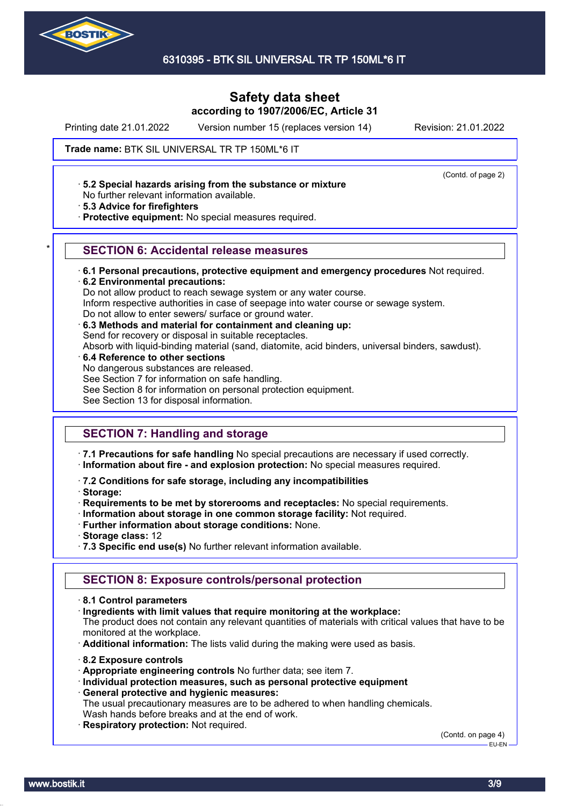

6310395 - BTK SIL UNIVERSAL TR TP 150ML\*6 IT

# **Safety data sheet according to 1907/2006/EC, Article 31**

Printing date 21.01.2022 Version number 15 (replaces version 14) Revision: 21.01.2022

(Contd. of page 2)

Trade name: BTK SIL UNIVERSAL TR TP 150ML\*6 IT

· **5.2 Special hazards arising from the substance or mixture**

No further relevant information available.

· **5.3 Advice for firefighters**

· **Protective equipment:** No special measures required.

### \* **SECTION 6: Accidental release measures**

· **6.1 Personal precautions, protective equipment and emergency procedures** Not required. · **6.2 Environmental precautions:**

Do not allow product to reach sewage system or any water course. Inform respective authorities in case of seepage into water course or sewage system. Do not allow to enter sewers/ surface or ground water.

- · **6.3 Methods and material for containment and cleaning up:** Send for recovery or disposal in suitable receptacles. Absorb with liquid-binding material (sand, diatomite, acid binders, universal binders, sawdust).
- · **6.4 Reference to other sections** No dangerous substances are released. See Section 7 for information on safe handling. See Section 8 for information on personal protection equipment. See Section 13 for disposal information.

# **SECTION 7: Handling and storage**

· **7.1 Precautions for safe handling** No special precautions are necessary if used correctly. · **Information about fire - and explosion protection:** No special measures required.

· **7.2 Conditions for safe storage, including any incompatibilities**

· **Storage:**

- · **Requirements to be met by storerooms and receptacles:** No special requirements.
- · **Information about storage in one common storage facility:** Not required.
- · **Further information about storage conditions:** None.
- · **Storage class:** 12
- · **7.3 Specific end use(s)** No further relevant information available.

### **SECTION 8: Exposure controls/personal protection**

- · **8.1 Control parameters**
- · **Ingredients with limit values that require monitoring at the workplace:**

The product does not contain any relevant quantities of materials with critical values that have to be monitored at the workplace.

- · **Additional information:** The lists valid during the making were used as basis.
- · **8.2 Exposure controls**
- · **Appropriate engineering controls** No further data; see item 7.
- · **Individual protection measures, such as personal protective equipment** · **General protective and hygienic measures:**

The usual precautionary measures are to be adhered to when handling chemicals. Wash hands before breaks and at the end of work.

**Respiratory protection: Not required.** 

(Contd. on page 4) EU-EN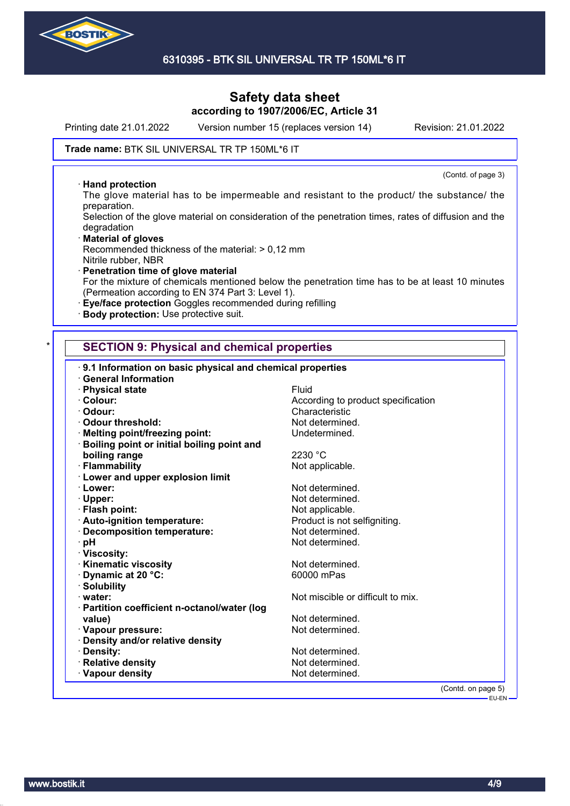

Printing date 21.01.2022 Version number 15 (replaces version 14) Revision: 21.01.2022

(Contd. of page 3)

#### Trade name: BTK SIL UNIVERSAL TR TP 150ML\*6 IT

#### · **Hand protection**

The glove material has to be impermeable and resistant to the product/ the substance/ the preparation.

Selection of the glove material on consideration of the penetration times, rates of diffusion and the degradation

- · **Material of gloves** Recommended thickness of the material: > 0,12 mm Nitrile rubber, NBR
- · **Penetration time of glove material** For the mixture of chemicals mentioned below the penetration time has to be at least 10 minutes (Permeation according to EN 374 Part 3: Level 1).
- · **Eye/face protection** Goggles recommended during refilling
- · **Body protection:** Use protective suit.

### **SECTION 9: Physical and chemical properties**

| 9.1 Information on basic physical and chemical properties |                                    |
|-----------------------------------------------------------|------------------------------------|
| <b>General Information</b>                                |                                    |
| · Physical state                                          | Fluid                              |
| · Colour:                                                 | According to product specification |
| · Odour:                                                  | Characteristic                     |
| <b>Odour threshold:</b>                                   | Not determined.                    |
| · Melting point/freezing point:                           | Undetermined.                      |
| Boiling point or initial boiling point and                |                                    |
| boiling range                                             | 2230 °C                            |
| · Flammability                                            | Not applicable.                    |
| <b>Lower and upper explosion limit</b>                    |                                    |
| · Lower:                                                  | Not determined.                    |
| · Upper:                                                  | Not determined.                    |
| · Flash point:                                            | Not applicable.                    |
| · Auto-ignition temperature:                              | Product is not selfigniting.       |
| Decomposition temperature:                                | Not determined.                    |
| · pH                                                      | Not determined.                    |
| · Viscosity:                                              |                                    |
| <b>Kinematic viscosity</b>                                | Not determined.                    |
| Dynamic at 20 °C:                                         | 60000 mPas                         |
| · Solubility                                              |                                    |
| · water:                                                  | Not miscible or difficult to mix.  |
| Partition coefficient n-octanol/water (log                |                                    |
| value)                                                    | Not determined.                    |
| · Vapour pressure:                                        | Not determined.                    |
| Density and/or relative density                           |                                    |
| · Density:                                                | Not determined.                    |
| · Relative density                                        | Not determined.                    |
| · Vapour density                                          | Not determined.                    |
|                                                           | (Contd. on page 5)                 |
|                                                           | $EU$ -EN $-$                       |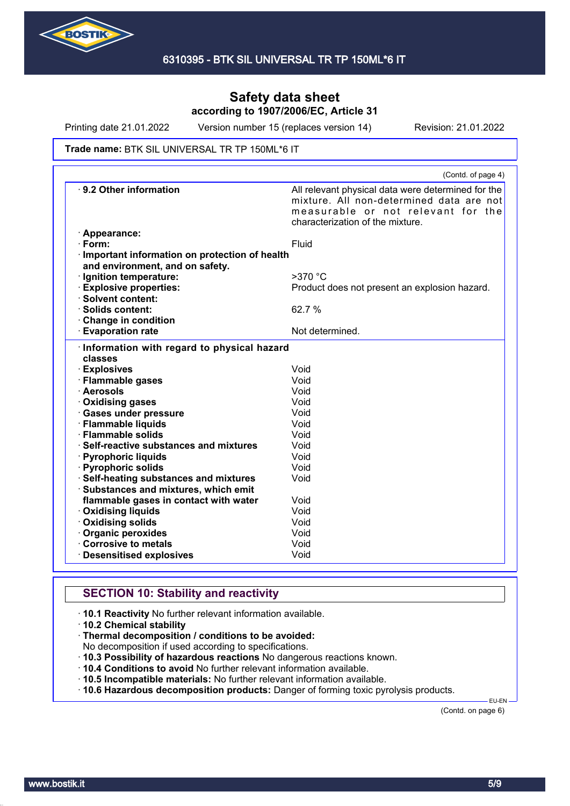

Printing date 21.01.2022 Version number 15 (replaces version 14) Revision: 21.01.2022

#### Trade name: BTK SIL UNIVERSAL TR TP 150ML\*6 IT

|                                               | (Contd. of page 4)                                 |
|-----------------------------------------------|----------------------------------------------------|
| 9.2 Other information                         | All relevant physical data were determined for the |
|                                               | mixture. All non-determined data are not           |
|                                               | measurable or not relevant for the                 |
|                                               | characterization of the mixture.                   |
| · Appearance:                                 |                                                    |
| $\cdot$ Form:                                 | Fluid                                              |
| Important information on protection of health |                                                    |
| and environment, and on safety.               |                                                    |
| · Ignition temperature:                       | $>370$ °C                                          |
| <b>Explosive properties:</b>                  | Product does not present an explosion hazard.      |
| · Solvent content:                            |                                                    |
| · Solids content:                             | 62.7 %                                             |
| Change in condition                           |                                                    |
| <b>Evaporation rate</b>                       | Not determined.                                    |
| Information with regard to physical hazard    |                                                    |
| classes                                       |                                                    |
| <b>Explosives</b>                             | Void                                               |
| · Flammable gases                             | Void                                               |
| · Aerosols                                    | Void                                               |
| · Oxidising gases                             | Void                                               |
| <b>Gases under pressure</b>                   | Void                                               |
| · Flammable liquids                           | Void                                               |
| · Flammable solids                            | Void                                               |
| · Self-reactive substances and mixtures       | Void                                               |
| · Pyrophoric liquids                          | Void                                               |
| · Pyrophoric solids                           | Void                                               |
| · Self-heating substances and mixtures        | Void                                               |
| Substances and mixtures, which emit           |                                                    |
| flammable gases in contact with water         | Void                                               |
| · Oxidising liquids                           | Void                                               |
| <b>Oxidising solids</b>                       | Void                                               |
| Organic peroxides                             | Void                                               |
| Corrosive to metals                           | Void                                               |
| <b>Desensitised explosives</b>                | Void                                               |

# **SECTION 10: Stability and reactivity**

· **10.1 Reactivity** No further relevant information available.

· **10.2 Chemical stability**

· **Thermal decomposition / conditions to be avoided:**

No decomposition if used according to specifications.

· **10.3 Possibility of hazardous reactions** No dangerous reactions known.

· **10.4 Conditions to avoid** No further relevant information available.

· **10.5 Incompatible materials:** No further relevant information available.

· **10.6 Hazardous decomposition products:** Danger of forming toxic pyrolysis products.

(Contd. on page 6)

EU-EN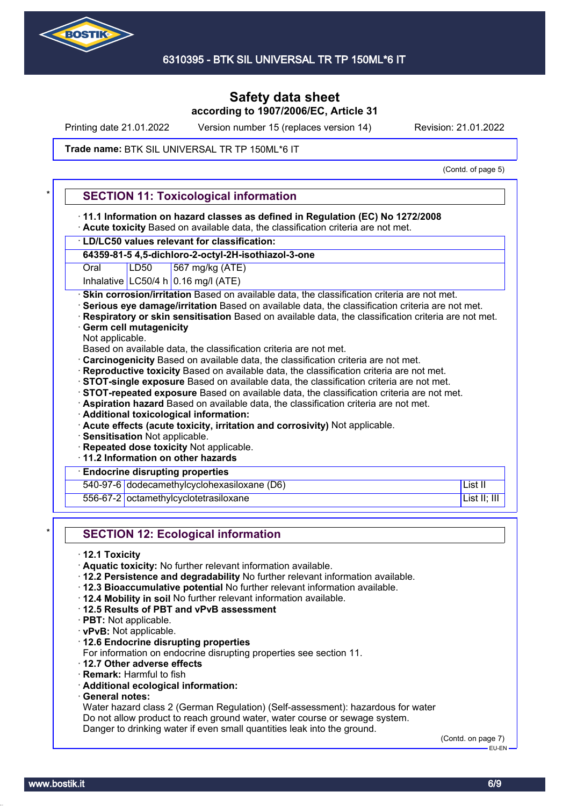

Printing date 21.01.2022 Version number 15 (replaces version 14) Revision: 21.01.2022

#### Trade name: BTK SIL UNIVERSAL TR TP 150ML\*6 IT

(Contd. of page 5)

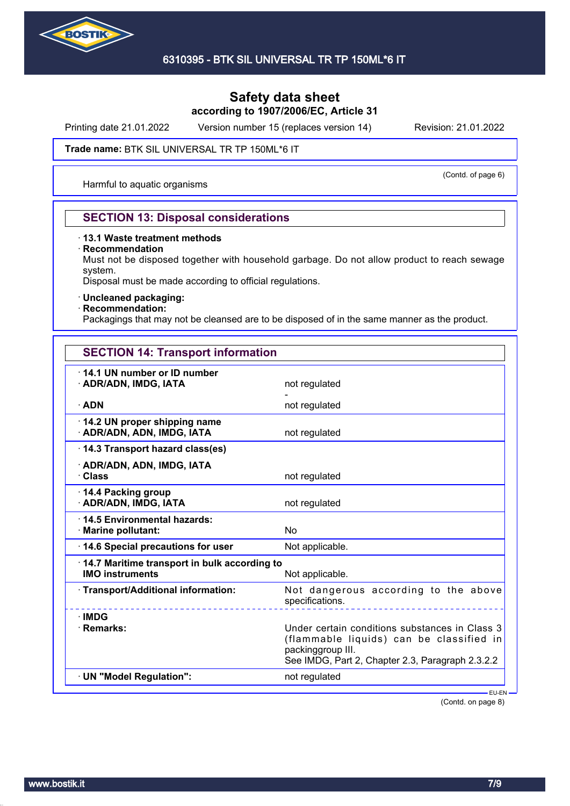

Printing date 21.01.2022 Version number 15 (replaces version 14) Revision: 21.01.2022

#### Trade name: BTK SIL UNIVERSAL TR TP 150ML\*6 IT

Harmful to aquatic organisms

# (Contd. of page 6)

## **SECTION 13: Disposal considerations**

### · **13.1 Waste treatment methods**

#### · **Recommendation**

Must not be disposed together with household garbage. Do not allow product to reach sewage system.

Disposal must be made according to official regulations.

### · **Uncleaned packaging:**

### · **Recommendation:**

Packagings that may not be cleansed are to be disposed of in the same manner as the product.

| <b>SECTION 14: Transport information</b>                                       |                 |  |
|--------------------------------------------------------------------------------|-----------------|--|
| 14.1 UN number or ID number<br>· ADR/ADN, IMDG, IATA                           | not regulated   |  |
|                                                                                |                 |  |
| · ADN                                                                          | not regulated   |  |
| 14.2 UN proper shipping name<br>· ADR/ADN, ADN, IMDG, IATA                     | not regulated   |  |
| 14.3 Transport hazard class(es)                                                |                 |  |
| · ADR/ADN, ADN, IMDG, IATA<br>· Class                                          | not regulated   |  |
| $\cdot$ 14.4 Packing group<br>· ADR/ADN, IMDG, IATA                            | not regulated   |  |
| 14.5 Environmental hazards:<br>· Marine pollutant:                             | No              |  |
| 14.6 Special precautions for user                                              | Not applicable. |  |
| $\cdot$ 14.7 Maritime transport in bulk according to<br><b>IMO instruments</b> | Not applicable. |  |

· **Transport/Additional information:** Not dangerous according to the above specifications. · **IMDG** · **Remarks:** Under certain conditions substances in Class 3 (flammable liquids) can be classified in packinggroup III. See IMDG, Part 2, Chapter 2.3, Paragraph 2.3.2.2 · **UN "Model Regulation":** not regulated

(Contd. on page 8)

EU-EN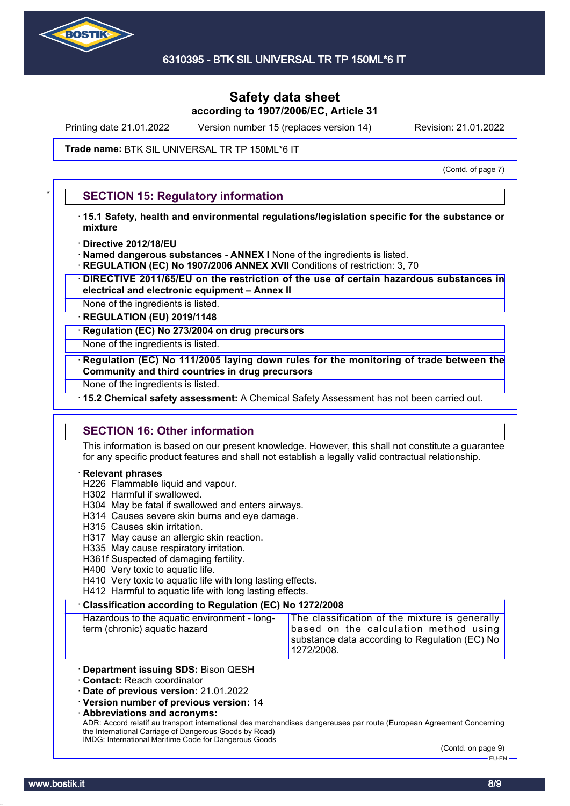

Printing date 21.01.2022 Version number 15 (replaces version 14) Revision: 21.01.2022

#### Trade name: BTK SIL UNIVERSAL TR TP 150ML\*6 IT

(Contd. of page 7)

### **SECTION 15: Regulatory information**

- · **15.1 Safety, health and environmental regulations/legislation specific for the substance or mixture**
- · **Directive 2012/18/EU**
- · **Named dangerous substances ANNEX I** None of the ingredients is listed.
- **REGULATION (EC) No 1907/2006 ANNEX XVII** Conditions of restriction: 3, 70
- · **DIRECTIVE 2011/65/EU on the restriction of the use of certain hazardous substances in electrical and electronic equipment – Annex II**
- None of the ingredients is listed.

· **REGULATION (EU) 2019/1148**

· **Regulation (EC) No 273/2004 on drug precursors**

None of the ingredients is listed.

· **Regulation (EC) No 111/2005 laying down rules for the monitoring of trade between the Community and third countries in drug precursors**

None of the ingredients is listed.

· **15.2 Chemical safety assessment:** A Chemical Safety Assessment has not been carried out.

### **SECTION 16: Other information**

This information is based on our present knowledge. However, this shall not constitute a guarantee for any specific product features and shall not establish a legally valid contractual relationship.

#### · **Relevant phrases**

- H226 Flammable liquid and vapour.
- H302 Harmful if swallowed.
- H304 May be fatal if swallowed and enters airways.
- H314 Causes severe skin burns and eye damage.
- H315 Causes skin irritation.
- H317 May cause an allergic skin reaction.
- H335 May cause respiratory irritation.
- H361f Suspected of damaging fertility.
- H400 Very toxic to aquatic life.
- H410 Very toxic to aquatic life with long lasting effects.

H412 Harmful to aquatic life with long lasting effects.

#### · **Classification according to Regulation (EC) No 1272/2008**

Hazardous to the aquatic environment - longterm (chronic) aquatic hazard

The classification of the mixture is generally based on the calculation method using substance data according to Regulation (EC) No 1272/2008.

- · **Department issuing SDS:** Bison QESH
- · **Contact:** Reach coordinator

· **Date of previous version:** 21.01.2022

· **Version number of previous version:** 14

· **Abbreviations and acronyms:**

ADR: Accord relatif au transport international des marchandises dangereuses par route (European Agreement Concerning the International Carriage of Dangerous Goods by Road) IMDG: International Maritime Code for Dangerous Goods

(Contd. on page 9) .<br>EU-EN